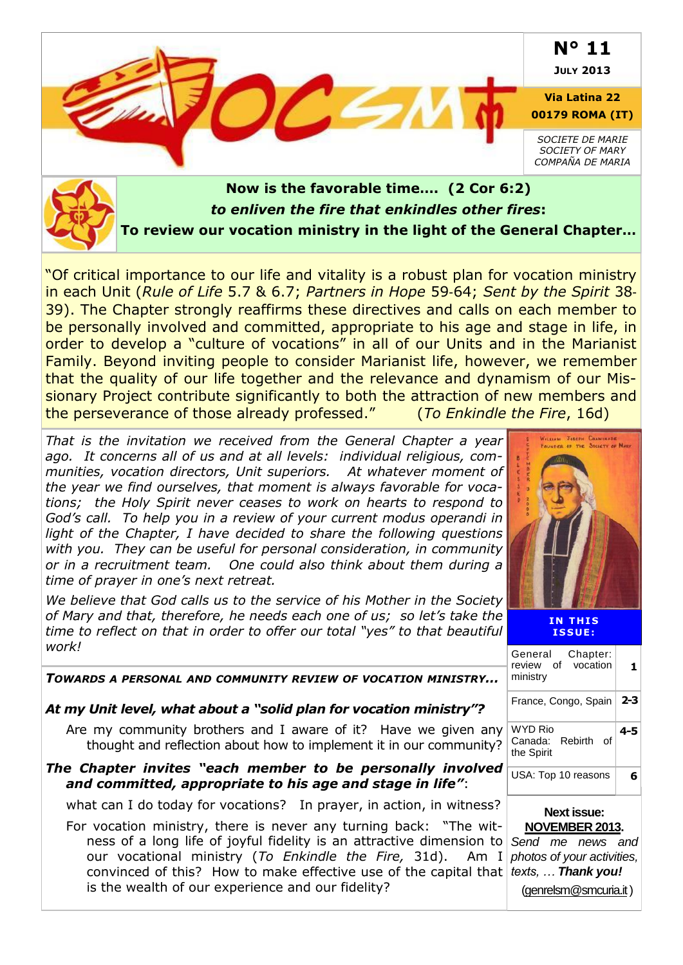

### *to enliven the fire that enkindles other fires***: To review our vocation ministry in the light of the General Chapter…**

"Of critical importance to our life and vitality is a robust plan for vocation ministry in each Unit (*Rule of Life* 5.7 & 6.7; *Partners in Hope* 59‐64; *Sent by the Spirit* 38‐ 39). The Chapter strongly reaffirms these directives and calls on each member to be personally involved and committed, appropriate to his age and stage in life, in order to develop a "culture of vocations" in all of our Units and in the Marianist Family. Beyond inviting people to consider Marianist life, however, we remember that the quality of our life together and the relevance and dynamism of our Missionary Project contribute significantly to both the attraction of new members and the perseverance of those already professed." (*To Enkindle the Fire*, 16d)

*That is the invitation we received from the General Chapter a year ago. It concerns all of us and at all levels: individual religious, communities, vocation directors, Unit superiors. At whatever moment of the year we find ourselves, that moment is always favorable for vocations; the Holy Spirit never ceases to work on hearts to respond to God's call. To help you in a review of your current modus operandi in light of the Chapter, I have decided to share the following questions with you. They can be useful for personal consideration, in community or in a recruitment team. One could also think about them during a time of prayer in one's next retreat.* 

*We believe that God calls us to the service of his Mother in the Society of Mary and that, therefore, he needs each one of us; so let's take the time to reflect on that in order to offer our total "yes" to that beautiful work!*

|                      | WILLIAM JOSEPH CHAMINADE<br>FOUNDER OF THE SOCIETY OF MARY |
|----------------------|------------------------------------------------------------|
|                      | <b>MAIL</b>                                                |
| <b>DRUGSTER</b><br>3 |                                                            |
| <b>DOOD</b>          |                                                            |
|                      |                                                            |
|                      |                                                            |
|                      |                                                            |
| b                    |                                                            |

**IN THIS I S S UE :**

| WUI K !                                                                                                                                                                                                                                                                                                                                                                                            | Chapter:<br>General                                |         |
|----------------------------------------------------------------------------------------------------------------------------------------------------------------------------------------------------------------------------------------------------------------------------------------------------------------------------------------------------------------------------------------------------|----------------------------------------------------|---------|
| TOWARDS A PERSONAL AND COMMUNITY REVIEW OF VOCATION MINISTRY                                                                                                                                                                                                                                                                                                                                       | vocation<br>οf<br>review<br>ministry               | 1.      |
| At my Unit level, what about a "solid plan for vocation ministry"?                                                                                                                                                                                                                                                                                                                                 | France, Congo, Spain                               | $2 - 3$ |
| Are my community brothers and I aware of it? Have we given any<br>thought and reflection about how to implement it in our community?                                                                                                                                                                                                                                                               | <b>WYD Rio</b><br>Canada: Rebirth of<br>the Spirit | $4 - 5$ |
| The Chapter invites "each member to be personally involved<br>and committed, appropriate to his age and stage in life":                                                                                                                                                                                                                                                                            | USA: Top 10 reasons                                | 6       |
| what can I do today for vocations? In prayer, in action, in witness?                                                                                                                                                                                                                                                                                                                               | <b>Next issue:</b>                                 |         |
| For vocation ministry, there is never any turning back: "The wit-<br>ness of a long life of joyful fidelity is an attractive dimension to Send me news and<br>our vocational ministry (To Enkindle the Fire, 31d). Am I photos of your activities,<br>convinced of this? How to make effective use of the capital that $ $ texts,  Thank you!<br>is the wealth of our experience and our fidelity? | <b>NOVEMBER 2013.</b>                              |         |
|                                                                                                                                                                                                                                                                                                                                                                                                    | (genrelsm@smcuria.it)                              |         |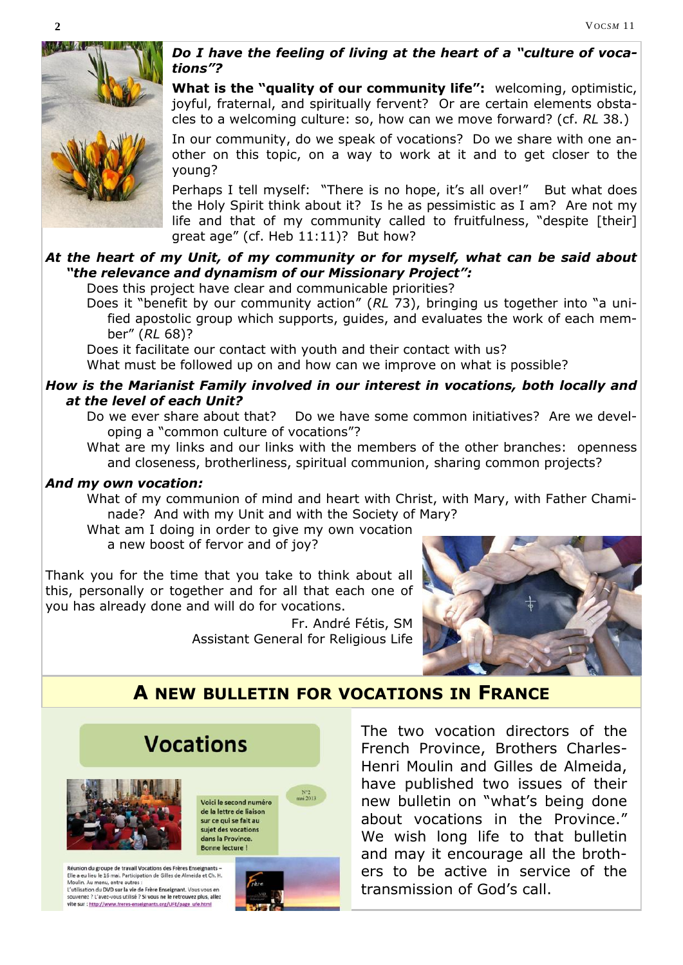

*Do I have the feeling of living at the heart of a "culture of vocations"?*

**What is the "quality of our community life":** welcoming, optimistic, joyful, fraternal, and spiritually fervent? Or are certain elements obstacles to a welcoming culture: so, how can we move forward? (cf. *RL* 38.)

In our community, do we speak of vocations? Do we share with one another on this topic, on a way to work at it and to get closer to the young?

Perhaps I tell myself: "There is no hope, it's all over!" But what does the Holy Spirit think about it? Is he as pessimistic as I am? Are not my life and that of my community called to fruitfulness, "despite [their] great age" (cf. Heb 11:11)? But how?

### *At the heart of my Unit, of my community or for myself, what can be said about "the relevance and dynamism of our Missionary Project":*

Does this project have clear and communicable priorities?

Does it "benefit by our community action" (*RL* 73), bringing us together into "a unified apostolic group which supports, guides, and evaluates the work of each member" (*RL* 68)?

Does it facilitate our contact with youth and their contact with us?

What must be followed up on and how can we improve on what is possible?

#### *How is the Marianist Family involved in our interest in vocations, both locally and at the level of each Unit?*

- Do we ever share about that? Do we have some common initiatives? Are we developing a "common culture of vocations"?
- What are my links and our links with the members of the other branches: openness and closeness, brotherliness, spiritual communion, sharing common projects?

#### *And my own vocation:*

What of my communion of mind and heart with Christ, with Mary, with Father Chaminade? And with my Unit and with the Society of Mary?

What am I doing in order to give my own vocation a new boost of fervor and of joy?

Thank you for the time that you take to think about all this, personally or together and for all that each one of you has already done and will do for vocations.

> Fr. André Fétis, SM Assistant General for Religious Life



### **A NEW BULLETIN FOR VOCATIONS IN FRANCE**



L'utilisation du DVD sur la vie de Frère Enseignant. Vous vous en venez ? L'avez-vous utilisé ? Si vous ne le retrouvez plus, allez vite sur : http://www.freres-enseignants.org/UFE/page\_ufe.html



The two vocation directors of the French Province, Brothers Charles-Henri Moulin and Gilles de Almeida, have published two issues of their new bulletin on "what's being done about vocations in the Province." We wish long life to that bulletin and may it encourage all the brothers to be active in service of the transmission of God's call.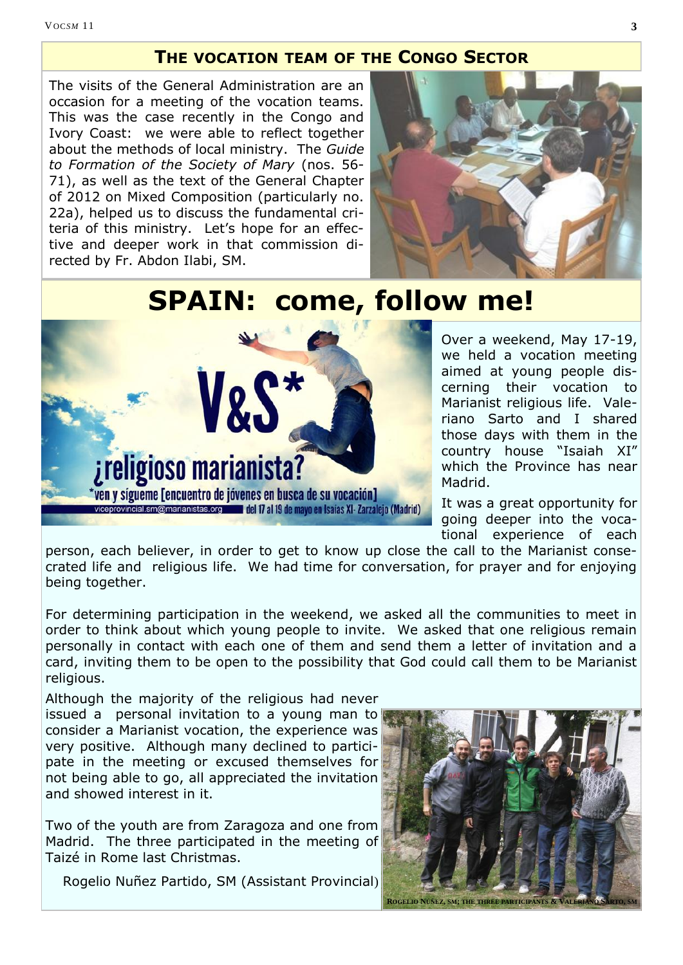### **THE VOCATION TEAM OF THE CONGO SECTOR**

The visits of the General Administration are an occasion for a meeting of the vocation teams. This was the case recently in the Congo and Ivory Coast: we were able to reflect together about the methods of local ministry. The *Guide to Formation of the Society of Mary* (nos. 56- 71), as well as the text of the General Chapter of 2012 on Mixed Composition (particularly no. 22a), helped us to discuss the fundamental criteria of this ministry. Let's hope for an effective and deeper work in that commission directed by Fr. Abdon Ilabi, SM.



# **SPAIN: come, follow me!**



Over a weekend, May 17-19, we held a vocation meeting aimed at young people discerning their vocation to Marianist religious life. Valeriano Sarto and I shared those days with them in the country house "Isaiah XI" which the Province has near Madrid.

It was a great opportunity for going deeper into the vocational experience of each

person, each believer, in order to get to know up close the call to the Marianist consecrated life and religious life. We had time for conversation, for prayer and for enjoying being together.

For determining participation in the weekend, we asked all the communities to meet in order to think about which young people to invite. We asked that one religious remain personally in contact with each one of them and send them a letter of invitation and a card, inviting them to be open to the possibility that God could call them to be Marianist religious.

Although the majority of the religious had never issued a personal invitation to a young man to consider a Marianist vocation, the experience was very positive. Although many declined to participate in the meeting or excused themselves for not being able to go, all appreciated the invitation and showed interest in it.

Two of the youth are from Zaragoza and one from Madrid. The three participated in the meeting of Taizé in Rome last Christmas.

Rogelio Nuñez Partido, SM (Assistant Provincial)

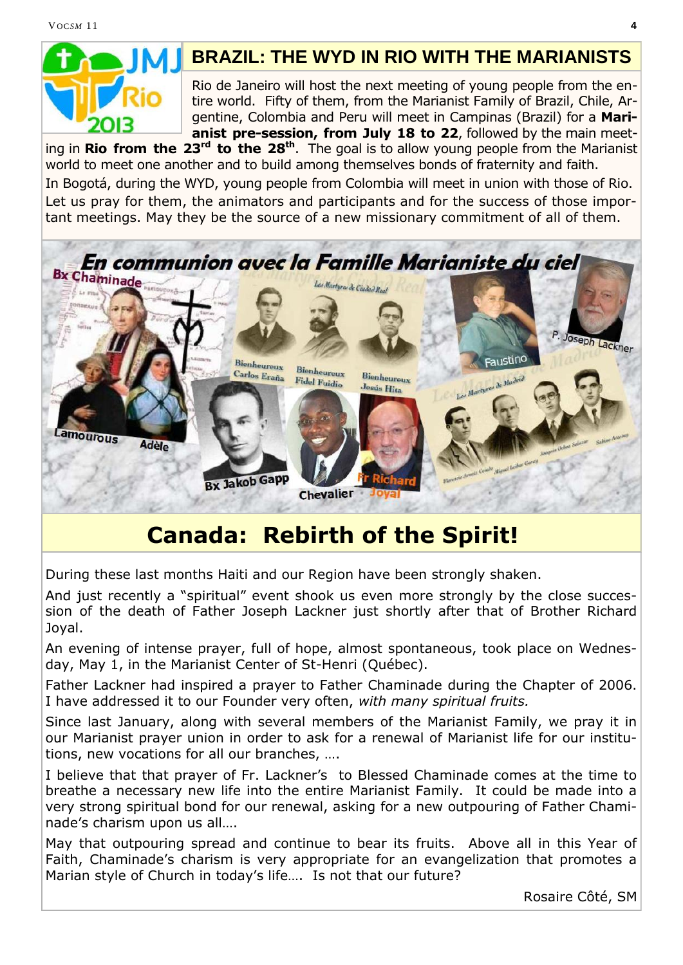

### **BRAZIL: THE WYD IN RIO WITH THE MARIANISTS**

Rio de Janeiro will host the next meeting of young people from the entire world. Fifty of them, from the Marianist Family of Brazil, Chile, Argentine, Colombia and Peru will meet in Campinas (Brazil) for a **Marianist pre-session, from July 18 to 22**, followed by the main meet-

ing in **Rio from the 23rd to the 28th** . The goal is to allow young people from the Marianist world to meet one another and to build among themselves bonds of fraternity and faith. In Bogotá, during the WYD, young people from Colombia will meet in union with those of Rio. Let us pray for them, the animators and participants and for the success of those important meetings. May they be the source of a new missionary commitment of all of them.



# **Canada: Rebirth of the Spirit!**

During these last months Haiti and our Region have been strongly shaken.

And just recently a "spiritual" event shook us even more strongly by the close succession of the death of Father Joseph Lackner just shortly after that of Brother Richard Joyal.

An evening of intense prayer, full of hope, almost spontaneous, took place on Wednesday, May 1, in the Marianist Center of St-Henri (Québec).

Father Lackner had inspired a prayer to Father Chaminade during the Chapter of 2006. I have addressed it to our Founder very often, *with many spiritual fruits.*

Since last January, along with several members of the Marianist Family, we pray it in our Marianist prayer union in order to ask for a renewal of Marianist life for our institutions, new vocations for all our branches, ….

I believe that that prayer of Fr. Lackner's to Blessed Chaminade comes at the time to breathe a necessary new life into the entire Marianist Family. It could be made into a very strong spiritual bond for our renewal, asking for a new outpouring of Father Chaminade's charism upon us all….

May that outpouring spread and continue to bear its fruits. Above all in this Year of Faith, Chaminade's charism is very appropriate for an evangelization that promotes a Marian style of Church in today's life…. Is not that our future?

Rosaire Côté, SM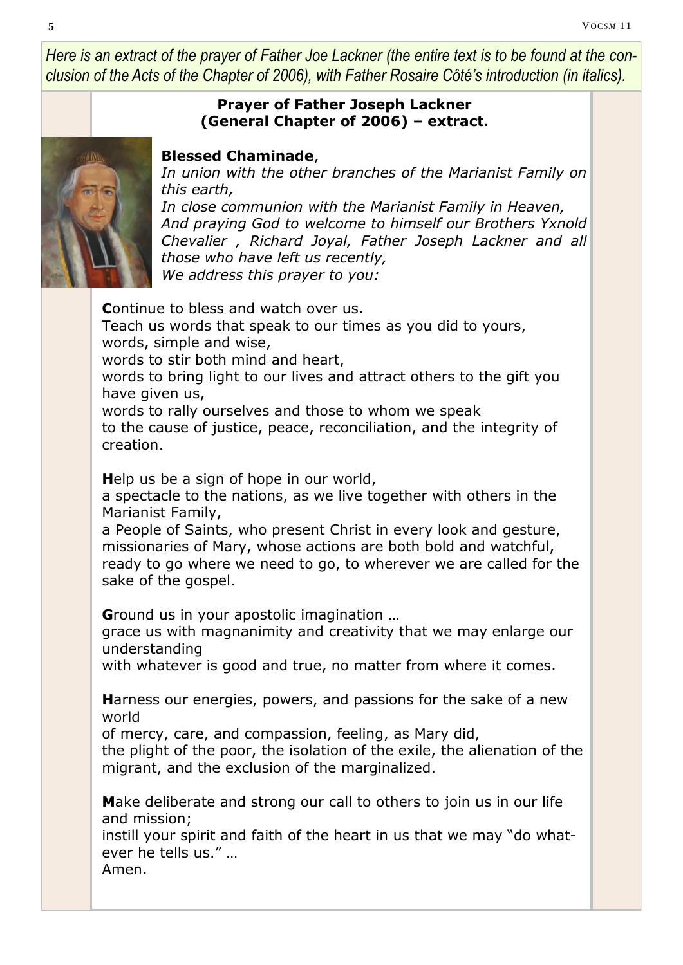*Here is an extract of the prayer of Father Joe Lackner (the entire text is to be found at the conclusion of the Acts of the Chapter of 2006), with Father Rosaire Côté's introduction (in italics).* 

### **Prayer of Father Joseph Lackner (General Chapter of 2006) – extract.**



### **Blessed Chaminade**,

*In union with the other branches of the Marianist Family on this earth,*

*In close communion with the Marianist Family in Heaven, And praying God to welcome to himself our Brothers Yxnold Chevalier , Richard Joyal, Father Joseph Lackner and all those who have left us recently, We address this prayer to you:*

**C**ontinue to bless and watch over us. Teach us words that speak to our times as you did to yours, words, simple and wise, words to stir both mind and heart, words to bring light to our lives and attract others to the gift you have given us, words to rally ourselves and those to whom we speak to the cause of justice, peace, reconciliation, and the integrity of creation.

**H**elp us be a sign of hope in our world,

a spectacle to the nations, as we live together with others in the Marianist Family,

a People of Saints, who present Christ in every look and gesture, missionaries of Mary, whose actions are both bold and watchful, ready to go where we need to go, to wherever we are called for the sake of the gospel.

**G**round us in your apostolic imagination …

grace us with magnanimity and creativity that we may enlarge our understanding

with whatever is good and true, no matter from where it comes.

**H**arness our energies, powers, and passions for the sake of a new world

of mercy, care, and compassion, feeling, as Mary did,

the plight of the poor, the isolation of the exile, the alienation of the migrant, and the exclusion of the marginalized.

**M**ake deliberate and strong our call to others to join us in our life and mission;

instill your spirit and faith of the heart in us that we may "do whatever he tells us." …

Amen.